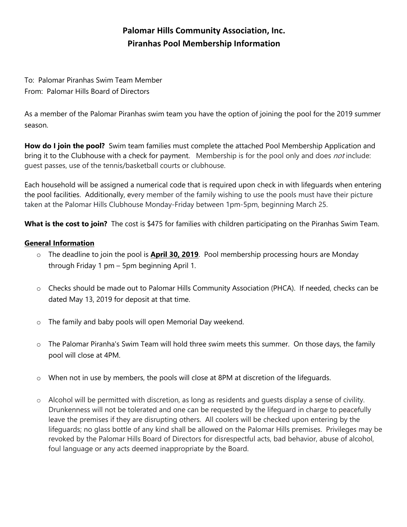## **Palomar Hills Community Association, Inc. Piranhas Pool Membership Information**

To: Palomar Piranhas Swim Team Member From: Palomar Hills Board of Directors

As a member of the Palomar Piranhas swim team you have the option of joining the pool for the 2019 summer season.

**How do I join the pool?** Swim team families must complete the attached Pool Membership Application and bring it to the Clubhouse with a check for payment. Membership is for the pool only and does *not* include: guest passes, use of the tennis/basketball courts or clubhouse.

Each household will be assigned a numerical code that is required upon check in with lifeguards when entering the pool facilities. Additionally, every member of the family wishing to use the pools must have their picture taken at the Palomar Hills Clubhouse Monday-Friday between 1pm-5pm, beginning March 25.

**What is the cost to join?** The cost is \$475 for families with children participating on the Piranhas Swim Team.

## **General Information**

- o The deadline to join the pool is **April 30, 2019**. Pool membership processing hours are Monday through Friday 1 pm – 5pm beginning April 1.
- o Checks should be made out to Palomar Hills Community Association (PHCA). If needed, checks can be dated May 13, 2019 for deposit at that time.
- o The family and baby pools will open Memorial Day weekend.
- $\circ$  The Palomar Piranha's Swim Team will hold three swim meets this summer. On those days, the family pool will close at 4PM.
- $\circ$  When not in use by members, the pools will close at 8PM at discretion of the lifeguards.
- $\circ$  Alcohol will be permitted with discretion, as long as residents and quests display a sense of civility. Drunkenness will not be tolerated and one can be requested by the lifeguard in charge to peacefully leave the premises if they are disrupting others. All coolers will be checked upon entering by the lifeguards; no glass bottle of any kind shall be allowed on the Palomar Hills premises. Privileges may be revoked by the Palomar Hills Board of Directors for disrespectful acts, bad behavior, abuse of alcohol, foul language or any acts deemed inappropriate by the Board.